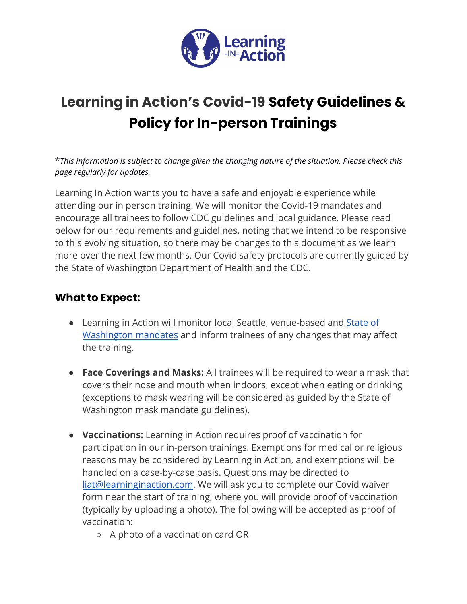

## **Learning in Action's Covid-19 Safety Guidelines & Policy for In-person Trainings**

\**This information is subject to change given the changing nature of the situation. Please check this page regularly for updates.*

Learning In Action wants you to have a safe and enjoyable experience while attending our in person training. We will monitor the Covid-19 mandates and encourage all trainees to follow CDC guidelines and local guidance. Please read below for our requirements and guidelines, noting that we intend to be responsive to this evolving situation, so there may be changes to this document as we learn more over the next few months. Our Covid safety protocols are currently guided by the State of Washington Department of Health and the CDC.

## **What to Expect:**

- Learning in Action will monitor local Seattle, venue-based and [State of](https://www.doh.wa.gov/Emergencies/COVID19) [Washington mandates](https://www.doh.wa.gov/Emergencies/COVID19) and inform trainees of any changes that may affect the training.
- **Face Coverings and Masks:** All trainees will be required to wear a mask that covers their nose and mouth when indoors, except when eating or drinking (exceptions to mask wearing will be considered as guided by the State of Washington mask mandate guidelines).
- **Vaccinations:** Learning in Action requires proof of vaccination for participation in our in-person trainings. Exemptions for medical or religious reasons may be considered by Learning in Action, and exemptions will be handled on a case-by-case basis. Questions may be directed to [liat@learninginaction.com](mailto:liat@learninginaction.com). We will ask you to complete our Covid waiver form near the start of training, where you will provide proof of vaccination (typically by uploading a photo). The following will be accepted as proof of vaccination:
	- A photo of a vaccination card OR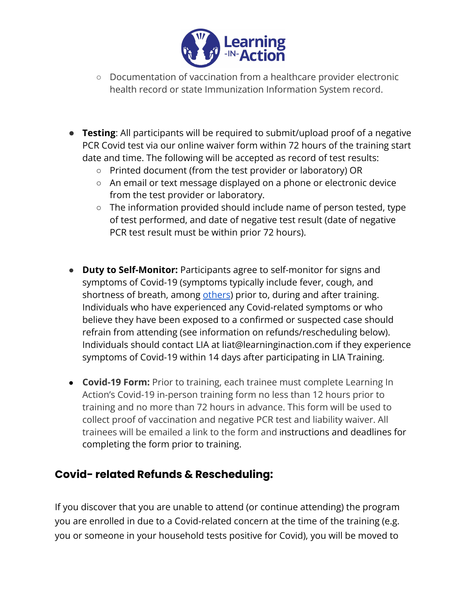

- Documentation of vaccination from a healthcare provider electronic health record or state Immunization Information System record.
- **Testing**: All participants will be required to submit/upload proof of a negative PCR Covid test via our online waiver form within 72 hours of the training start date and time. The following will be accepted as record of test results:
	- Printed document (from the test provider or laboratory) OR
	- An email or text message displayed on a phone or electronic device from the test provider or laboratory.
	- The information provided should include name of person tested, type of test performed, and date of negative test result (date of negative PCR test result must be within prior 72 hours).
- **Duty to Self-Monitor:** Participants agree to self-monitor for signs and symptoms of Covid-19 (symptoms typically include fever, cough, and shortness of breath, among [others](https://www.cdc.gov/coronavirus/2019-ncov/symptoms-testing/symptoms.html)) prior to, during and after training. Individuals who have experienced any Covid-related symptoms or who believe they have been exposed to a confirmed or suspected case should refrain from attending (see information on refunds/rescheduling below). Individuals should contact LIA at liat@learninginaction.com if they experience symptoms of Covid-19 within 14 days after participating in LIA Training.
- **Covid-19 Form:** Prior to training, each trainee must complete Learning In Action's Covid-19 in-person training form no less than 12 hours prior to training and no more than 72 hours in advance. This form will be used to collect proof of vaccination and negative PCR test and liability waiver. All trainees will be emailed a link to the form and instructions and deadlines for completing the form prior to training.

## **Covid- related Refunds & Rescheduling:**

If you discover that you are unable to attend (or continue attending) the program you are enrolled in due to a Covid-related concern at the time of the training (e.g. you or someone in your household tests positive for Covid), you will be moved to